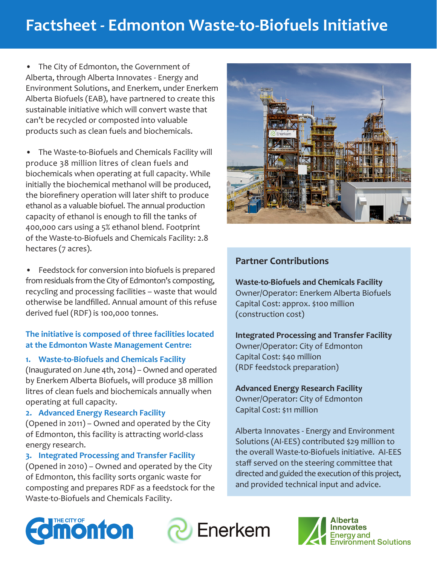# **Factsheet - Edmonton Waste-to-Biofuels Initiative**

• The City of Edmonton, the Government of Alberta, through Alberta Innovates - Energy and Environment Solutions, and Enerkem, under Enerkem Alberta Biofuels (EAB), have partnered to create this sustainable initiative which will convert waste that can't be recycled or composted into valuable products such as clean fuels and biochemicals.

The Waste-to-Biofuels and Chemicals Facility will produce 38 million litres of clean fuels and biochemicals when operating at full capacity. While initially the biochemical methanol will be produced, the biorefinery operation will later shift to produce ethanol as a valuable biofuel. The annual production capacity of ethanol is enough to fill the tanks of 400,000 cars using a 5% ethanol blend. Footprint of the Waste-to-Biofuels and Chemicals Facility: 2.8 hectares (7 acres).

Feedstock for conversion into biofuels is prepared from residuals from the City of Edmonton's composting, recycling and processing facilities – waste that would otherwise be landfilled. Annual amount of this refuse derived fuel (RDF) is 100,000 tonnes.

#### **The initiative is composed of three facilities located at the Edmonton Waste Management Centre:**

#### **1. Waste-to-Biofuels and Chemicals Facility**

(Inaugurated on June 4th, 2014) – Owned and operated by Enerkem Alberta Biofuels, will produce 38 million litres of clean fuels and biochemicals annually when operating at full capacity.

#### **2. Advanced Energy Research Facility**

(Opened in 2011) – Owned and operated by the City of Edmonton, this facility is attracting world-class energy research.

#### **3. Integrated Processing and Transfer Facility**

(Opened in 2010) – Owned and operated by the City of Edmonton, this facility sorts organic waste for composting and prepares RDF as a feedstock for the Waste-to-Biofuels and Chemicals Facility.



# **Partner Contributions**

**Waste-to-Biofuels and Chemicals Facility** Owner/Operator: Enerkem Alberta Biofuels Capital Cost: approx. \$100 million (construction cost)

#### **Integrated Processing and Transfer Facility** Owner/Operator: City of Edmonton Capital Cost: \$40 million (RDF feedstock preparation)

# **Advanced Energy Research Facility**

Owner/Operator: City of Edmonton Capital Cost: \$11 million

Alberta Innovates - Energy and Environment Solutions (AI-EES) contributed \$29 million to the overall Waste-to-Biofuels initiative. AI-EES staff served on the steering committee that directed and guided the execution of this project, and provided technical input and advice.